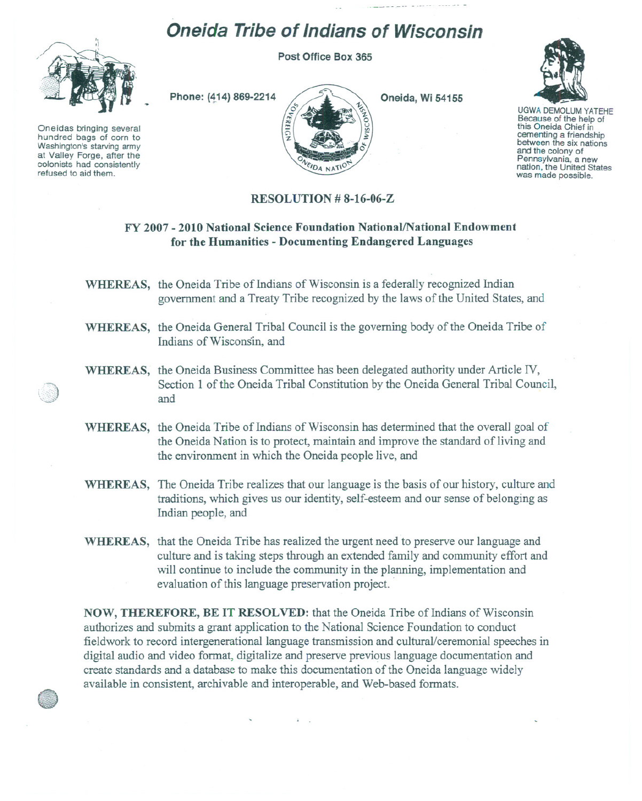## **Oneida Tribe of Indians of Wisconsin**

**Post Office Box 365**



Oneidas bringing several hundred bags of corn to Washington's starving army at Valley Forge, after the colonists had consistently refused to aid them.



**Oneida, Wi 54155**



UGWA DEMOLUM YATEHE<br>Because of the help of this Oneida Chief in cementing <sup>a</sup> friendship between the six nations and the colony of<br>Pennsylvania, a new nation, the United States was made possible.

## **RESOLUTION # 8-16-06-Z**

## **FY 2007 - 2010 National Science Foundation NationallNational Endowment for the Humanities - Documenting Endangered Languages**

**WHEREAS,** the Oneida Tribe of Indians of Wisconsin is a federally recognized Indian government and a Treaty Tribe recognized by the laws of the United States, and

- **WHEREAS,** the Oneida General Tribal Council is the governing body of the Oneida Tribe of Indians of Wisconsin, and
- WHEREAS, the Oneida Business Committee has been delegated authority under Article IV,<br>Section 1 of the Oneida Tribal Constitution by the Oneida General Tribal Council,  $\mathbb{Z}$  and  $\mathbb{Z}$  and  $\mathbb{Z}$  and  $\mathbb{Z}$   $\mathbb{Z}$  and  $\mathbb{Z}$   $\mathbb{Z}$   $\mathbb{Z}$   $\mathbb{Z}$   $\mathbb{Z}$   $\mathbb{Z}$   $\mathbb{Z}$   $\mathbb{Z}$   $\mathbb{Z}$   $\mathbb{Z}$   $\mathbb{Z}$   $\mathbb{Z}$   $\mathbb{Z}$   $\mathbb{Z}$   $\mathbb{Z}$   $\mathbb{Z}$   $\mathbb{Z}$   $\mathbb{Z}$ 
	- **WHEREAS,** the Oneida Tribe of Indians of Wisconsin has determined that the overall goal of the Oneida Nation is to protect, maintain and improve the standard of living and the environment in which the Oneida people live, and
	- WHEREAS, The Oneida Tribe realizes that our language is the basis of our history, culture and traditions, which gives us our identity, self-esteem and our sense of belonging as Indian people, and
	- **WHEREAS,** that the Oneida Tribe has realized the urgent need to preserve our language and culture and is taking steps through an extended family and community effort and will continue to include the community in the planning, implementation and evaluation of this language preservation project. .

**NOW, THEREFORE, BE IT RESOLVED:** that the Oneida Tribe of Indians of Wisconsin authorizes and submits a grant application to the National Science Foundation to conduct fieldwork to record intergenerational language transmission and cultural/ceremonial speeches in digital audio and video format, digitalize and preserve previous language documentation and create standards and a database to make this documentation of the Oneida language widely available in consistent, archivable and interoperable, and Web-based formats.